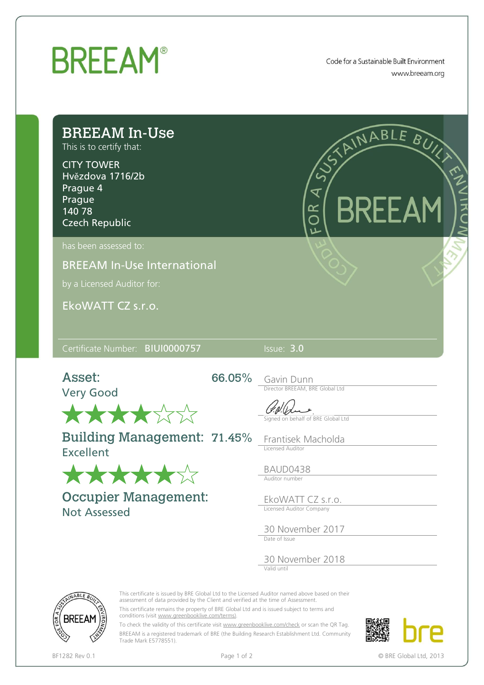

Code for a Sustainable Built Environment www.breeam.org

| <b>BREEAM In-Use</b><br>This is to certify that:<br><b>CITY TOWER</b><br>Hvězdova 1716/2b<br>Prague 4<br>Prague<br>140 78<br><b>Czech Republic</b> | E RDF                                                                                      |
|----------------------------------------------------------------------------------------------------------------------------------------------------|--------------------------------------------------------------------------------------------|
| has been assessed to:<br><b>BREEAM In-Use International</b><br>by a Licensed Auditor for:<br>EkoWATT CZ s.r.o.                                     |                                                                                            |
|                                                                                                                                                    |                                                                                            |
| Certificate Number: BIUI0000757                                                                                                                    | Issue: 3.0                                                                                 |
| Asset:<br><b>Very Good</b>                                                                                                                         | 66.05% Gavin Dunn<br>Director BREEAM, BRE Global Ltd<br>Signed on behalf of BRE Global Ltd |
| 大大大大公公<br><b>Building Management: 71.45%</b><br><b>Excellent</b>                                                                                   | Frantisek Macholda<br>Licensed Auditor<br>BAUD0438<br>Auditor number                       |
| *****<br><b>Occupier Management:</b><br><b>Not Assessed</b>                                                                                        | EkoWATT CZ s.r.o.<br>Licensed Auditor Company<br>30 November 2017<br>Date of Issue         |

This certificate is issued by BRE Global Ltd to the Licensed Auditor named above based on their assessment of data provided by the Client and verified at the time of Assessment.

This certificate remains the property of BRE Global Ltd and is issued subject to terms and conditions (visit [www.greenbooklive.com/terms\)](http://www.greenbooklive.com/terms)).

To check the validity of this certificate visit [www.greenbooklive.com/check](http://www.greenbooklive.com/check) or scan the QR Tag. BREEAM is a registered trademark of BRE (the Building Research Establishment Ltd. Community Trade Mark E5778551).



ABLE R

**BREEAM** 

BF1282 Rev 0.1 **Page 1 of 2** Page 1 of 2 **Details 12** OBRE Global Ltd, 2013